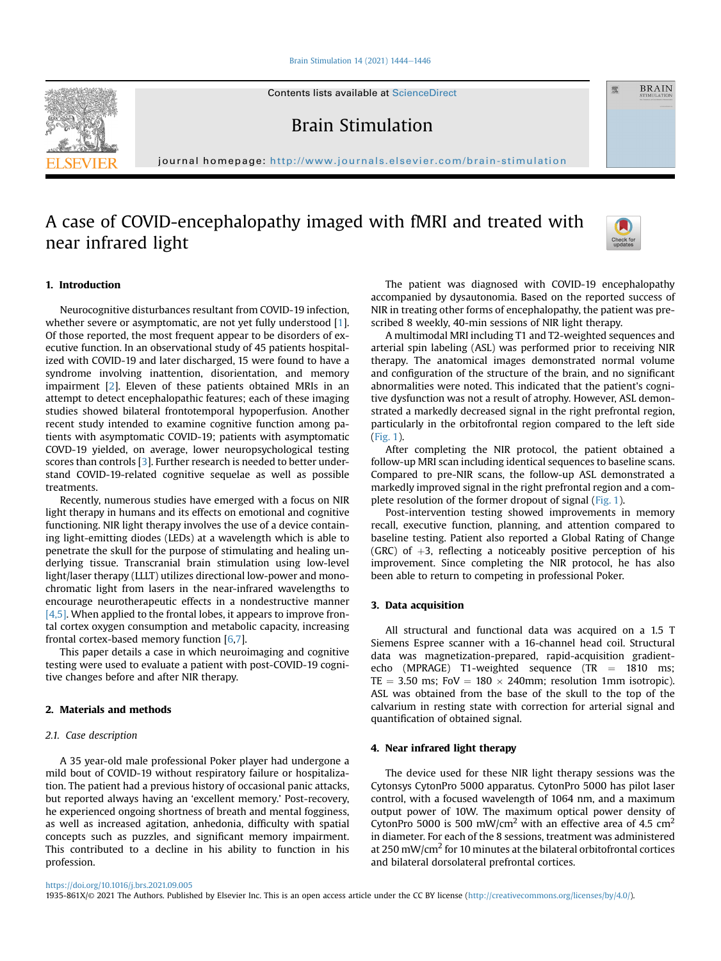#### [Brain Stimulation 14 \(2021\) 1444](https://doi.org/10.1016/j.brs.2021.09.005)-[1446](https://doi.org/10.1016/j.brs.2021.09.005)

Contents lists available at ScienceDirect

Brain Stimulation

journal homepage: <http://www.journals.elsevier.com/brain-stimulation>

# A case of COVID-encephalopathy imaged with fMRI and treated with near infrared light



A multimodal MRI including T1 and T2-weighted sequences and arterial spin labeling (ASL) was performed prior to receiving NIR therapy. The anatomical images demonstrated normal volume and configuration of the structure of the brain, and no significant abnormalities were noted. This indicated that the patient's cognitive dysfunction was not a result of atrophy. However, ASL demonstrated a markedly decreased signal in the right prefrontal region, particularly in the orbitofrontal region compared to the left side ([Fig. 1](#page-1-4)).

After completing the NIR protocol, the patient obtained a follow-up MRI scan including identical sequences to baseline scans. Compared to pre-NIR scans, the follow-up ASL demonstrated a markedly improved signal in the right prefrontal region and a complete resolution of the former dropout of signal [\(Fig. 1\)](#page-1-4).

Post-intervention testing showed improvements in memory recall, executive function, planning, and attention compared to baseline testing. Patient also reported a Global Rating of Change (GRC) of  $+3$ , reflecting a noticeably positive perception of his improvement. Since completing the NIR protocol, he has also been able to return to competing in professional Poker.

#### 3. Data acquisition

All structural and functional data was acquired on a 1.5 T Siemens Espree scanner with a 16-channel head coil. Structural data was magnetization-prepared, rapid-acquisition gradientecho (MPRAGE) T1-weighted sequence (TR  $=$  1810 ms;  $TE = 3.50$  ms;  $Fov = 180 \times 240$ mm; resolution 1mm isotropic). ASL was obtained from the base of the skull to the top of the calvarium in resting state with correction for arterial signal and quantification of obtained signal.

## 4. Near infrared light therapy

The device used for these NIR light therapy sessions was the Cytonsys CytonPro 5000 apparatus. CytonPro 5000 has pilot laser control, with a focused wavelength of 1064 nm, and a maximum output power of 10W. The maximum optical power density of CytonPro 5000 is 500 mW/cm<sup>2</sup> with an effective area of 4.5 cm<sup>2</sup> in diameter. For each of the 8 sessions, treatment was administered at 250 mW/cm2 for 10 minutes at the bilateral orbitofrontal cortices and bilateral dorsolateral prefrontal cortices.

# 1. Introduction

Neurocognitive disturbances resultant from COVID-19 infection, whether severe or asymptomatic, are not yet fully understood [\[1\]](#page-1-0). Of those reported, the most frequent appear to be disorders of executive function. In an observational study of 45 patients hospitalized with COVID-19 and later discharged, 15 were found to have a syndrome involving inattention, disorientation, and memory impairment [\[2\]](#page-1-1). Eleven of these patients obtained MRIs in an attempt to detect encephalopathic features; each of these imaging studies showed bilateral frontotemporal hypoperfusion. Another recent study intended to examine cognitive function among patients with asymptomatic COVID-19; patients with asymptomatic COVD-19 yielded, on average, lower neuropsychological testing scores than controls [\[3\]](#page-1-2). Further research is needed to better understand COVID-19-related cognitive sequelae as well as possible treatments.

Recently, numerous studies have emerged with a focus on NIR light therapy in humans and its effects on emotional and cognitive functioning. NIR light therapy involves the use of a device containing light-emitting diodes (LEDs) at a wavelength which is able to penetrate the skull for the purpose of stimulating and healing underlying tissue. Transcranial brain stimulation using low-level light/laser therapy (LLLT) utilizes directional low-power and monochromatic light from lasers in the near-infrared wavelengths to encourage neurotherapeutic effects in a nondestructive manner  $[4,5]$ . When applied to the frontal lobes, it appears to improve frontal cortex oxygen consumption and metabolic capacity, increasing frontal cortex-based memory function [\[6,](#page-2-0)[7](#page-2-1)].

This paper details a case in which neuroimaging and cognitive testing were used to evaluate a patient with post-COVID-19 cognitive changes before and after NIR therapy.

## 2. Materials and methods

#### 2.1. Case description

A 35 year-old male professional Poker player had undergone a mild bout of COVID-19 without respiratory failure or hospitalization. The patient had a previous history of occasional panic attacks, but reported always having an 'excellent memory.' Post-recovery, he experienced ongoing shortness of breath and mental fogginess, as well as increased agitation, anhedonia, difficulty with spatial concepts such as puzzles, and significant memory impairment. This contributed to a decline in his ability to function in his profession.

<https://doi.org/10.1016/j.brs.2021.09.005>

1935-861X/© 2021 The Authors. Published by Elsevier Inc. This is an open access article under the CC BY license ([http://creativecommons.org/licenses/by/4.0/\)](http://creativecommons.org/licenses/by/4.0/).





靈

**BRAIN**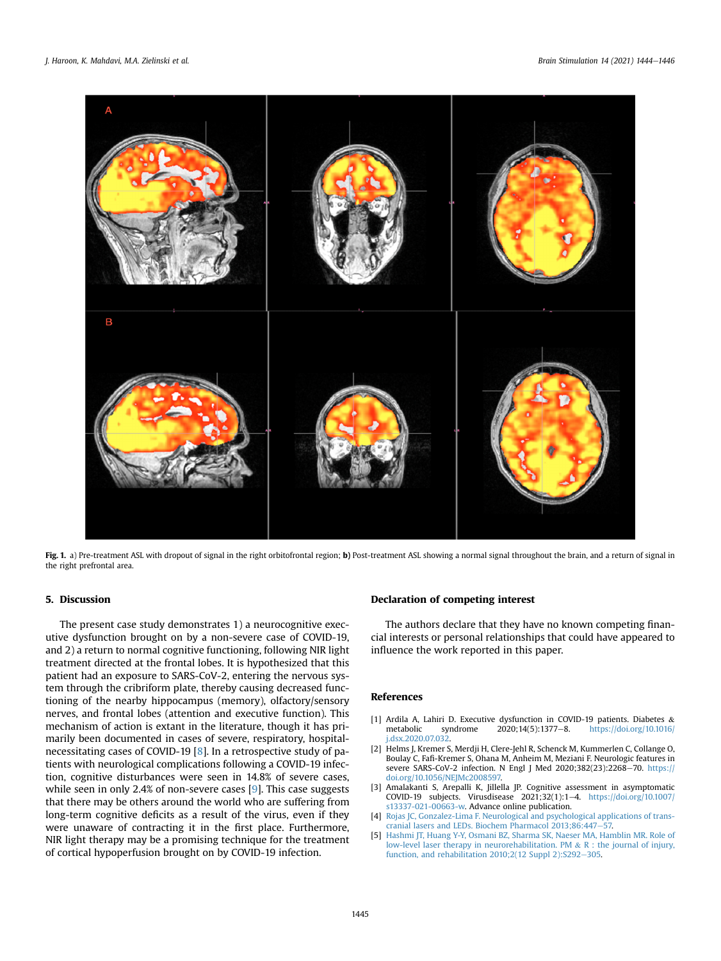<span id="page-1-4"></span>

Fig. 1. a) Pre-treatment ASL with dropout of signal in the right orbitofrontal region; b) Post-treatment ASL showing a normal signal throughout the brain, and a return of signal in the right prefrontal area.

## 5. Discussion

The present case study demonstrates 1) a neurocognitive executive dysfunction brought on by a non-severe case of COVID-19, and 2) a return to normal cognitive functioning, following NIR light treatment directed at the frontal lobes. It is hypothesized that this patient had an exposure to SARS-CoV-2, entering the nervous system through the cribriform plate, thereby causing decreased functioning of the nearby hippocampus (memory), olfactory/sensory nerves, and frontal lobes (attention and executive function). This mechanism of action is extant in the literature, though it has primarily been documented in cases of severe, respiratory, hospitalnecessitating cases of COVID-19 [[8\]](#page-2-2). In a retrospective study of patients with neurological complications following a COVID-19 infection, cognitive disturbances were seen in 14.8% of severe cases, while seen in only 2.4% of non-severe cases [\[9\]](#page-2-3). This case suggests that there may be others around the world who are suffering from long-term cognitive deficits as a result of the virus, even if they were unaware of contracting it in the first place. Furthermore, NIR light therapy may be a promising technique for the treatment of cortical hypoperfusion brought on by COVID-19 infection.

## Declaration of competing interest

The authors declare that they have no known competing financial interests or personal relationships that could have appeared to influence the work reported in this paper.

#### <span id="page-1-0"></span>References

- <span id="page-1-1"></span>[1] Ardila A, Lahiri D. Executive dysfunction in COVID-19 patients. Diabetes & [https://doi.org/10.1016/](https://doi.org/10.1016/j.dsx.2020.07.032) [j.dsx.2020.07.032](https://doi.org/10.1016/j.dsx.2020.07.032).
- [2] Helms J, Kremer S, Merdji H, Clere-Jehl R, Schenck M, Kummerlen C, Collange O, Boulay C, Fafi-Kremer S, Ohana M, Anheim M, Meziani F. Neurologic features in severe SARS-CoV-2 infection. N Engl J Med 2020;382(23):2268-70. [https://](https://doi.org/10.1056/NEJMc2008597) [doi.org/10.1056/NEJMc2008597.](https://doi.org/10.1056/NEJMc2008597)
- <span id="page-1-3"></span><span id="page-1-2"></span>[3] Amalakanti S, Arepalli K, Jillella JP. Cognitive assessment in asymptomatic COVID-19 subjects. Virusdisease 2021;32(1):1-4. [https://doi.org/10.1007/](https://doi.org/10.1007/s13337-021-00663-w) [s13337-021-00663-w](https://doi.org/10.1007/s13337-021-00663-w). Advance online publication.
- [4] [Rojas JC, Gonzalez-Lima F. Neurological and psychological applications of trans](http://refhub.elsevier.com/S1935-861X(21)00235-7/sref4)[cranial lasers and LEDs. Biochem Pharmacol 2013;86:447](http://refhub.elsevier.com/S1935-861X(21)00235-7/sref4)-
- [5] [Hashmi JT, Huang Y-Y, Osmani BZ, Sharma SK, Naeser MA, Hamblin MR. Role of](http://refhub.elsevier.com/S1935-861X(21)00235-7/sref10) [low-level laser therapy in neurorehabilitation. PM](http://refhub.elsevier.com/S1935-861X(21)00235-7/sref10) & [R : the journal of injury,](http://refhub.elsevier.com/S1935-861X(21)00235-7/sref10) function, and rehabilitation  $2010;2(12 \text{ Suppl } 2)$ :S292-[305](http://refhub.elsevier.com/S1935-861X(21)00235-7/sref10).